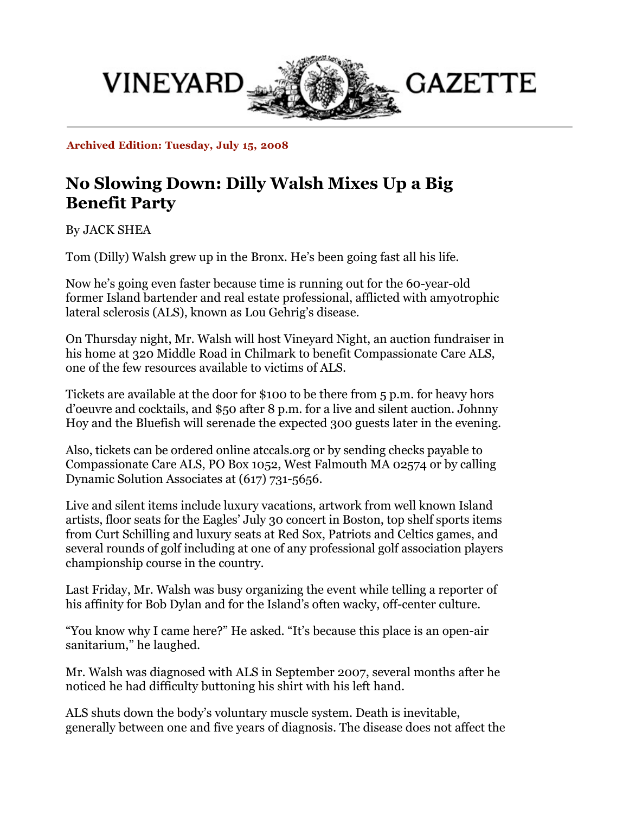

**Archived Edition: Tuesday, July 15, 2008**

## **No Slowing Down: Dilly Walsh Mixes Up a Big Benefit Party**

By JACK SHEA

Tom (Dilly) Walsh grew up in the Bronx. He's been going fast all his life.

Now he's going even faster because time is running out for the 60-year-old former Island bartender and real estate professional, afflicted with amyotrophic lateral sclerosis (ALS), known as Lou Gehrig's disease.

On Thursday night, Mr. Walsh will host Vineyard Night, an auction fundraiser in his home at 320 Middle Road in Chilmark to benefit Compassionate Care ALS, one of the few resources available to victims of ALS.

Tickets are available at the door for \$100 to be there from 5 p.m. for heavy hors d'oeuvre and cocktails, and \$50 after 8 p.m. for a live and silent auction. Johnny Hoy and the Bluefish will serenade the expected 300 guests later in the evening.

Also, tickets can be ordered online atccals.org or by sending checks payable to Compassionate Care ALS, PO Box 1052, West Falmouth MA 02574 or by calling Dynamic Solution Associates at (617) 731-5656.

Live and silent items include luxury vacations, artwork from well known Island artists, floor seats for the Eagles' July 30 concert in Boston, top shelf sports items from Curt Schilling and luxury seats at Red Sox, Patriots and Celtics games, and several rounds of golf including at one of any professional golf association players championship course in the country.

Last Friday, Mr. Walsh was busy organizing the event while telling a reporter of his affinity for Bob Dylan and for the Island's often wacky, off-center culture.

"You know why I came here?" He asked. "It's because this place is an open-air sanitarium," he laughed.

Mr. Walsh was diagnosed with ALS in September 2007, several months after he noticed he had difficulty buttoning his shirt with his left hand.

ALS shuts down the body's voluntary muscle system. Death is inevitable, generally between one and five years of diagnosis. The disease does not affect the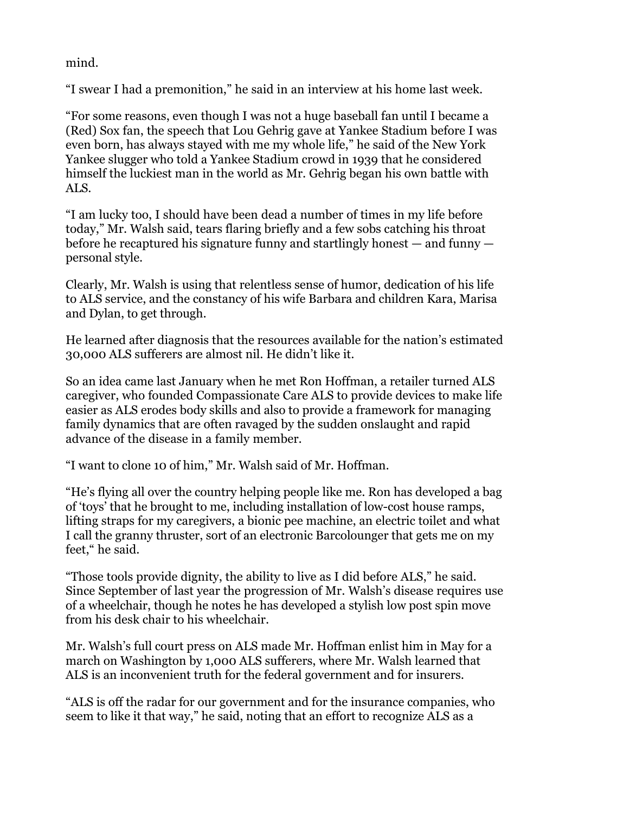mind.

"I swear I had a premonition," he said in an interview at his home last week.

"For some reasons, even though I was not a huge baseball fan until I became a (Red) Sox fan, the speech that Lou Gehrig gave at Yankee Stadium before I was even born, has always stayed with me my whole life," he said of the New York Yankee slugger who told a Yankee Stadium crowd in 1939 that he considered himself the luckiest man in the world as Mr. Gehrig began his own battle with ALS.

"I am lucky too, I should have been dead a number of times in my life before today," Mr. Walsh said, tears flaring briefly and a few sobs catching his throat before he recaptured his signature funny and startlingly honest — and funny personal style.

Clearly, Mr. Walsh is using that relentless sense of humor, dedication of his life to ALS service, and the constancy of his wife Barbara and children Kara, Marisa and Dylan, to get through.

He learned after diagnosis that the resources available for the nation's estimated 30,000 ALS sufferers are almost nil. He didn't like it.

So an idea came last January when he met Ron Hoffman, a retailer turned ALS caregiver, who founded Compassionate Care ALS to provide devices to make life easier as ALS erodes body skills and also to provide a framework for managing family dynamics that are often ravaged by the sudden onslaught and rapid advance of the disease in a family member.

"I want to clone 10 of him," Mr. Walsh said of Mr. Hoffman.

"He's flying all over the country helping people like me. Ron has developed a bag of 'toys' that he brought to me, including installation of low-cost house ramps, lifting straps for my caregivers, a bionic pee machine, an electric toilet and what I call the granny thruster, sort of an electronic Barcolounger that gets me on my feet," he said.

"Those tools provide dignity, the ability to live as I did before ALS," he said. Since September of last year the progression of Mr. Walsh's disease requires use of a wheelchair, though he notes he has developed a stylish low post spin move from his desk chair to his wheelchair.

Mr. Walsh's full court press on ALS made Mr. Hoffman enlist him in May for a march on Washington by 1,000 ALS sufferers, where Mr. Walsh learned that ALS is an inconvenient truth for the federal government and for insurers.

"ALS is off the radar for our government and for the insurance companies, who seem to like it that way," he said, noting that an effort to recognize ALS as a